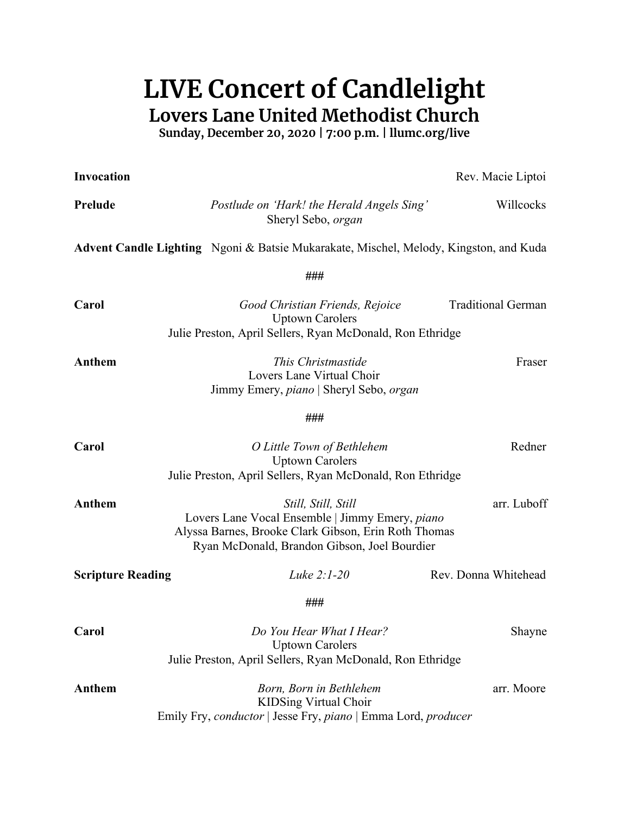## **LIVE Concert of Candlelight Lovers Lane United Methodist Church**

**Sunday, December 20, 2020 | 7:00 p.m. | llumc.org/live**

| <b>Invocation</b>        |                                                                                                                                                                                | Rev. Macie Liptoi         |
|--------------------------|--------------------------------------------------------------------------------------------------------------------------------------------------------------------------------|---------------------------|
| <b>Prelude</b>           | Postlude on 'Hark! the Herald Angels Sing'<br>Sheryl Sebo, organ                                                                                                               | Willcocks                 |
|                          | Advent Candle Lighting Ngoni & Batsie Mukarakate, Mischel, Melody, Kingston, and Kuda                                                                                          |                           |
|                          | ###                                                                                                                                                                            |                           |
| Carol                    | Good Christian Friends, Rejoice<br><b>Uptown Carolers</b><br>Julie Preston, April Sellers, Ryan McDonald, Ron Ethridge                                                         | <b>Traditional German</b> |
|                          |                                                                                                                                                                                |                           |
| Anthem                   | This Christmastide<br>Lovers Lane Virtual Choir<br>Jimmy Emery, piano   Sheryl Sebo, organ                                                                                     | Fraser                    |
|                          | ###                                                                                                                                                                            |                           |
| Carol                    | O Little Town of Bethlehem<br><b>Uptown Carolers</b><br>Julie Preston, April Sellers, Ryan McDonald, Ron Ethridge                                                              | Redner                    |
| Anthem                   | Still, Still, Still<br>Lovers Lane Vocal Ensemble   Jimmy Emery, piano<br>Alyssa Barnes, Brooke Clark Gibson, Erin Roth Thomas<br>Ryan McDonald, Brandon Gibson, Joel Bourdier | arr. Luboff               |
| <b>Scripture Reading</b> | Luke $2:1-20$                                                                                                                                                                  | Rev. Donna Whitehead      |
|                          | ###                                                                                                                                                                            |                           |
| Carol                    | Do You Hear What I Hear?<br><b>Uptown Carolers</b><br>Julie Preston, April Sellers, Ryan McDonald, Ron Ethridge                                                                | Shayne                    |
| Anthem                   | Born, Born in Bethlehem<br><b>KIDSing Virtual Choir</b><br>Emily Fry, conductor   Jesse Fry, piano   Emma Lord, producer                                                       | arr. Moore                |